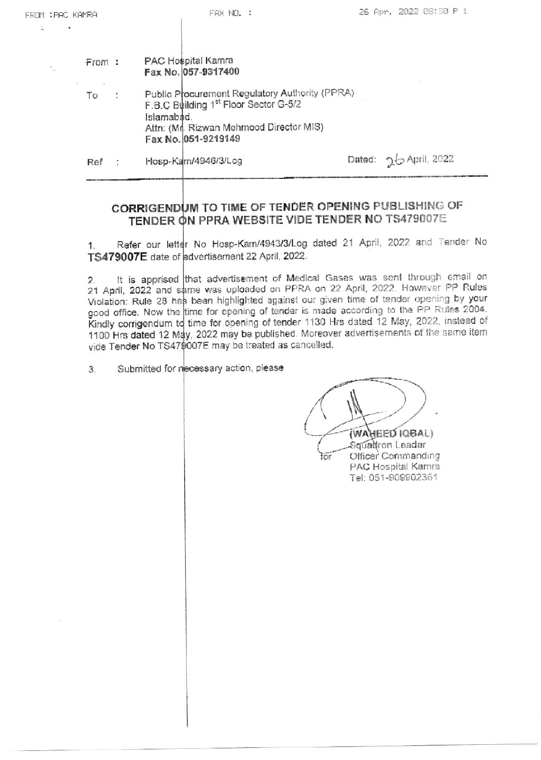| C KAMRA | FAX NO. :                                                                                                                                                                           |        | 26 Apr. 2022 08:50 P 1 |               |  |
|---------|-------------------------------------------------------------------------------------------------------------------------------------------------------------------------------------|--------|------------------------|---------------|--|
|         |                                                                                                                                                                                     |        |                        |               |  |
| From:   | PAC Hospital Kamra<br>Fax No. 057-9317400                                                                                                                                           |        |                        |               |  |
| Tο      | Public Procurement Regulatory Authority (PPRA)<br>F.B.C Building 1 <sup>st</sup> Floor Sector G-5/2<br>Islamabad.<br>Attn: (Mr. Rizwan Mehmood Director MIS)<br>Fax No. 051-9219149 |        |                        |               |  |
| Ref     | Hosp-Kam/4946/3/Log                                                                                                                                                                 | Dated: |                        | ⊃ April, 2022 |  |
|         |                                                                                                                                                                                     |        |                        |               |  |

## CORRIGENDUM TO TIME OF TENDER OPENING PUBLISHING OF TENDER ON PPRA WEBSITE VIDE TENDER NO TS479007E

Refer our letter No Hosp-Kam/4943/3/Log dated 21 April, 2022 and Tender No  $1.$ TS479007E date of advertisement 22 April, 2022.

It is apprised that advertisement of Medical Gases was sent through email on  $2.$ 21 April, 2022 and same was uploaded on PPRA on 22 April, 2022. However PP Rules Violation: Rule 28 has been highlighted against our given time of tender opening by your good office. Now the time for opening of tender is made according to the PP Rules 2004. Kindly corrigendum to time for opening of tender 1130 Hrs dated 12 May, 2022, instead of 1100 Hrs dated 12 May, 2022 may be published. Moreover advertisements of the same item vide Tender No TS479007E may be treated as cancelled.

Submitted for necessary action, please 3.

FROM : PA é.

(WAHEED IQBAL)

for

Squadron Leader Officer Commanding PAC Hospital Kamra Tel: 051-909902361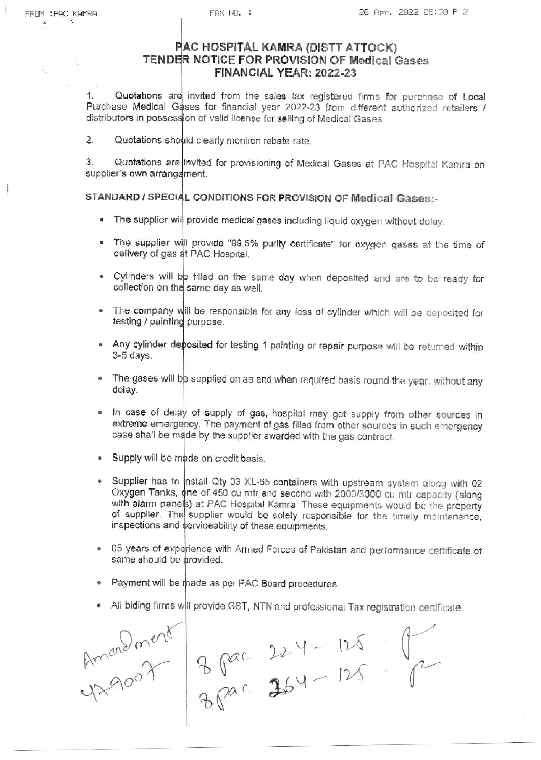## PAC HOSPITAL KAMRA (DISTT ATTOCK) TENDER NOTICE FOR PROVISION OF Medical Gases FINANCIAL YEAR: 2022-23

 $1<sup>1</sup>$ Quotations are invited from the sales tax registered firms for purchase of Local Purchase Medical Gases for financial year 2022-23 from different authorized retailers / distributors in possession of valid license for selling of Medical Gases.

 $\overline{2}$ . Quotations should clearly mention rebate rate.

Quotations are invited for provisioning of Medical Gases at PAC Hospital Kamra on 3. supplier's own arrangement.

## STANDARD / SPECIAL CONDITIONS FOR PROVISION OF Medical Gases:-

- . The supplier will provide medical gases including liquid oxygen without delay.
- The supplier will provide "99.5% purity certificate" for oxygen gases at the time of  $\bullet$ delivery of gas at PAC Hospital.
- . Cylinders will be filled on the same day when deposited and are to be ready for collection on the same day as well.
- The company will be responsible for any loss of cylinder which will be deposited for  $\ddot{\bullet}$ testing / painting purpose.
- Any cylinder deposited for testing 1 painting or repair purpose will be returned within  $\bullet$  $3-5$  days.
- The gases will be supplied on as and when required basis round the year, without any 4 delay.
- In case of delay of supply of gas, hospital may get supply from other sources in s extreme emergency. The payment of gas filled from other sources in such emergency case shall be made by the supplier awarded with the gas contract.
- · Supply will be made on credit basis.
- Supplier has to install Qty 03 XL-65 containers with upstream system along with 02 Oxygen Tanks, one of 450 cu mtr and second with 2000/3000 cu mtr capacity (along with alarm panels) at PAC Hospital Kamra. These equipments would be the property of supplier. The supplier would be solely responsible for the timely maintenance, inspections and serviceability of these equipments.
- . 05 years of experience with Armed Forces of Pakistan and performance certificate of same should be provided.
- Payment will be made as per PAC Board procedures.
- All biding firms will provide GST, NTN and professional Tax registration certificate.

American 2 pac 224 - 125 ft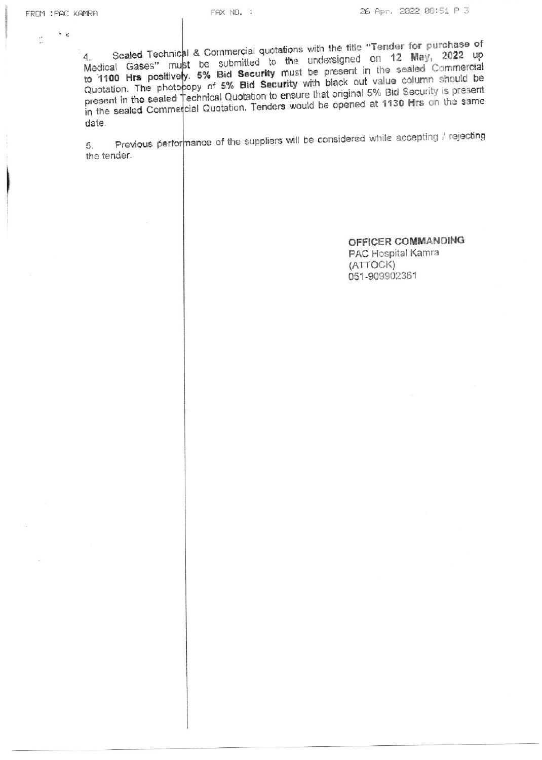$\epsilon$ 

 $\tau^{\pm}$ 

Sealed Technical & Commercial quotations with the title "Tender for purchase of Medical Gases" must be submitted to the undersigned on 12 May, 2022 up to 1100 Hrs positively. 5% Bid Security must be present in the sealed Commercial Quotation. The photocopy of 5% Bid Security with black out value column should be present in the sealed Technical Quotation to ensure that original 5% Bid Security is present in the sealed Commercial Quotation. Tenders would be opened at 1130 Hrs on the same date.

Previous performance of the suppliers will be considered while accepting / rejecting 5. the tender.

> OFFICER COMMANDING PAC Hospital Kamra (ATTOCK) 051-909902361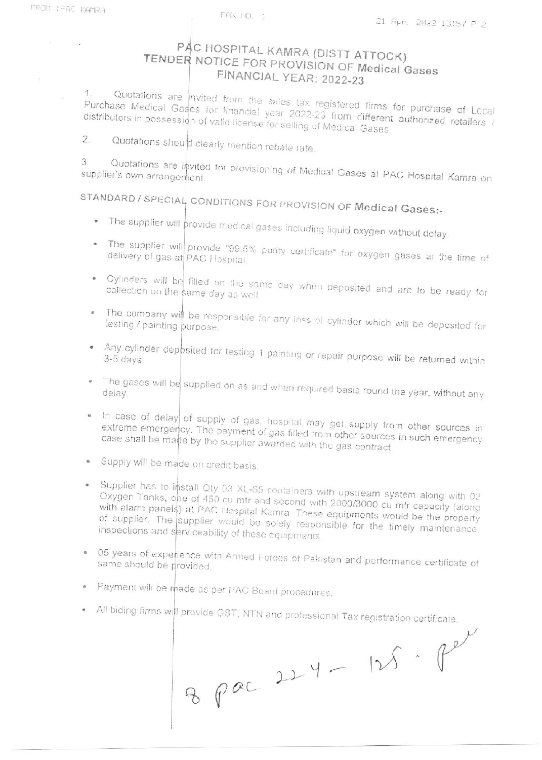$\omega$ 

 $\overline{\mathcal{A}}$ 

## PAC HOSPITAL KAMRA (DISTT ATTOCK) TENDER NOTICE FOR PROVISION OF Medical Gases FINANCIAL YEAR: 2022-23

Quotations are nvited from the sales tax registered firms for purchase of Local 1. Purchase Medical Gases for financial year 2022-23 from different authorized retailers / distributors in possession of valid license for selling of Medical Gases.

Quotations should clearly mention rebate rate.  $\overline{2}$ .

3. Quotations are invited for provisioning of Medical Gases at PAC Hospital Kamra on supplier's own arrangement.

STANDARD / SPECIAL CONDITIONS FOR PROVISION OF Medical Gases:-

- The supplier will provide medical gases including liquid oxygen without delay.
- . The supplier will provide "99.5% purity certificate" for oxygen gases at the time of
- . Cylinders will be filled on the same day when deposited and are to be ready for collection on the same day as well.
- . The company will be responsible for any loss of cylinder which will be deposited for
- . Any cylinder deposited for testing 1 painting or repair purpose will be returned within
- . The gases will be supplied on as and when required basis round the year, without any
- . In case of delay of supply of gas, hospital may get supply from other sources in extreme emergency. The payment of gas filled from other sources in such emergency case shall be made by the supplier awarded with the gas contract
- · Supply will be made on credit basis.
- Supplier has to install Qty 03 XL-65 containers with upstream system along with 02 Oxygen Tanks, one of 450 cu mtr and second with 2000/3000 cu mtr capacity (along with alarm panels) at PAC Hospital Kamra. These equipments would be the property of supplier. The supplier would be solely responsible for the timely maintenance, inspections and serviceability of these equipments.
- . 05 years of experience with Armed Forces of Pakistan and performance certificate of same should be provided.
- · Payment will be made as per PAC Board procedures.
- . All biding firms will provide GST, NTN and professional Tax registration certificate.

8 pac 224 - 125. Per